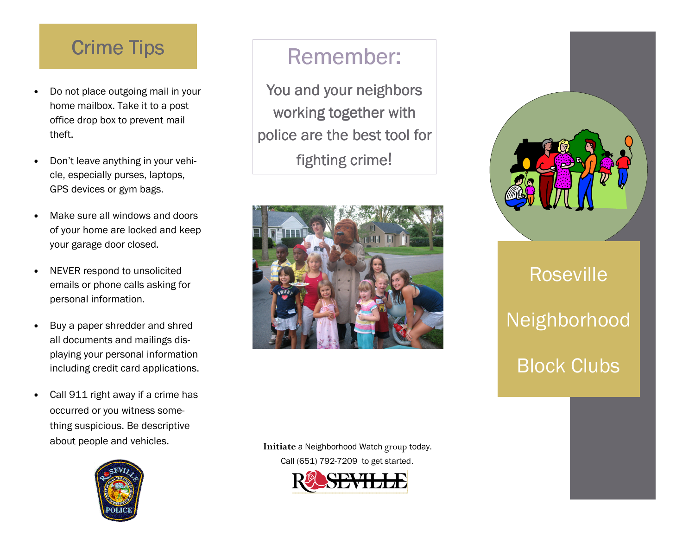## **Crime Tips**

- Do not place outgoing mail in your home mailbox. Take it to a post office drop box to prevent mail theft.
- Don't leave anything in your vehicle, especially purses, laptops, GPS devices or gym bags.
- Make sure all windows and doors of your home are locked and keep your garage door closed.
- NEVER respond to unsolicited emails or phone calls asking for personal information.
- Buy a paper shredder and shred all documents and mailings displaying your personal information including credit card applications.
- Call 911 right away if a crime has occurred or you witness something suspicious. Be descriptive about people and vehicles.



## Remember:

You and your neighbors working together with police are the best tool for fighting crime!



**Initiate** a Neighborhood Watch group today. Call (651) 792-7209 to get started.





# Roseville Neighborhood Block Clubs